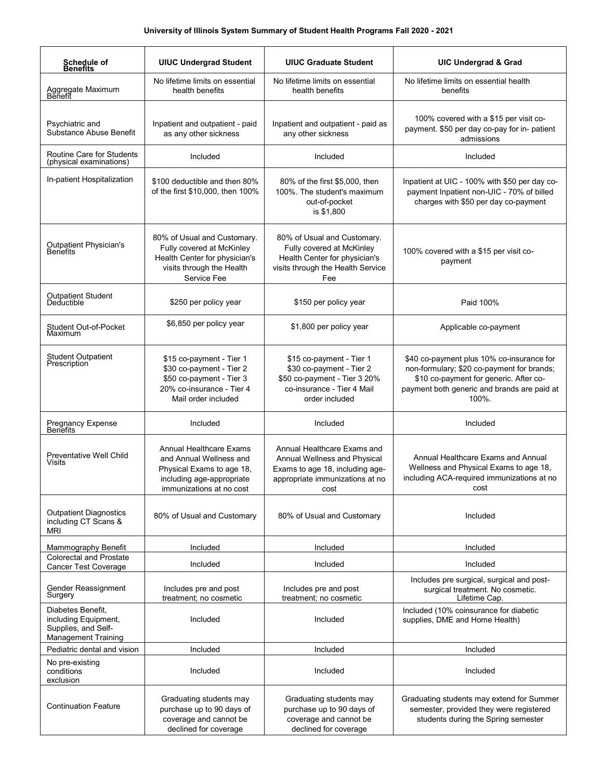| Schedule of<br><b>Benefits</b>                                                                 | <b>UIUC Undergrad Student</b>                                                                                                            | <b>UIUC Graduate Student</b>                                                                                                              | <b>UIC Undergrad &amp; Grad</b>                                                                                                                                                           |
|------------------------------------------------------------------------------------------------|------------------------------------------------------------------------------------------------------------------------------------------|-------------------------------------------------------------------------------------------------------------------------------------------|-------------------------------------------------------------------------------------------------------------------------------------------------------------------------------------------|
| Aggregate Maximum<br>Benefit                                                                   | No lifetime limits on essential<br>health benefits                                                                                       | No lifetime limits on essential<br>health benefits                                                                                        | No lifetime limits on essential health<br>benefits                                                                                                                                        |
| Psychiatric and<br>Substance Abuse Benefit                                                     | Inpatient and outpatient - paid<br>as any other sickness                                                                                 | Inpatient and outpatient - paid as<br>any other sickness                                                                                  | 100% covered with a \$15 per visit co-<br>payment. \$50 per day co-pay for in- patient<br>admissions                                                                                      |
| Routine Care for Students<br>(physical examinations)                                           | Included                                                                                                                                 | Included                                                                                                                                  | Included                                                                                                                                                                                  |
| In-patient Hospitalization                                                                     | \$100 deductible and then 80%<br>of the first \$10,000, then 100%                                                                        | 80% of the first \$5,000, then<br>100%. The student's maximum<br>out-of-pocket<br>is \$1,800                                              | Inpatient at UIC - 100% with \$50 per day co-<br>payment Inpatient non-UIC - 70% of billed<br>charges with \$50 per day co-payment                                                        |
| <b>Outpatient Physician's</b><br>Benefits                                                      | 80% of Usual and Customary.<br>Fully covered at McKinley<br>Health Center for physician's<br>visits through the Health<br>Service Fee    | 80% of Usual and Customary.<br>Fully covered at McKinley<br>Health Center for physician's<br>visits through the Health Service<br>Fee     | 100% covered with a \$15 per visit co-<br>payment                                                                                                                                         |
| Outpatient Student<br>Deductible                                                               | \$250 per policy year                                                                                                                    | \$150 per policy year                                                                                                                     | Paid 100%                                                                                                                                                                                 |
| Student Out-of-Pocket<br>Maximum                                                               | \$6,850 per policy year                                                                                                                  | \$1,800 per policy year                                                                                                                   | Applicable co-payment                                                                                                                                                                     |
| <b>Student Outpatient</b><br>Prescription <sup>®</sup>                                         | \$15 co-payment - Tier 1<br>\$30 co-payment - Tier 2<br>\$50 co-payment - Tier 3<br>20% co-insurance - Tier 4<br>Mail order included     | \$15 co-payment - Tier 1<br>\$30 co-payment - Tier 2<br>\$50 co-payment - Tier 3 20%<br>co-insurance - Tier 4 Mail<br>order included      | \$40 co-payment plus 10% co-insurance for<br>non-formulary; \$20 co-payment for brands;<br>\$10 co-payment for generic. After co-<br>payment both generic and brands are paid at<br>100%. |
| Pregnancy Expense<br>Benefits                                                                  | Included                                                                                                                                 | Included                                                                                                                                  | Included                                                                                                                                                                                  |
| Preventative Well Child<br>Visits                                                              | Annual Healthcare Exams<br>and Annual Wellness and<br>Physical Exams to age 18,<br>including age-appropriate<br>immunizations at no cost | Annual Healthcare Exams and<br>Annual Wellness and Physical<br>Exams to age 18, including age-<br>appropriate immunizations at no<br>cost | Annual Healthcare Exams and Annual<br>Wellness and Physical Exams to age 18,<br>including ACA-required immunizations at no<br>and the cost                                                |
| <b>Outpatient Diagnostics</b><br>including CT Scans &<br>MRI                                   | 80% of Usual and Customary                                                                                                               | 80% of Usual and Customary                                                                                                                | Included                                                                                                                                                                                  |
| Mammography Benefit                                                                            | Included                                                                                                                                 | Included                                                                                                                                  | Included                                                                                                                                                                                  |
| <b>Colorectal and Prostate</b><br><b>Cancer Test Coverage</b>                                  | Included                                                                                                                                 | Included                                                                                                                                  | Included                                                                                                                                                                                  |
| Gender Reassignment<br>Surgery                                                                 | Includes pre and post<br>treatment; no cosmetic                                                                                          | Includes pre and post<br>treatment; no cosmetic                                                                                           | Includes pre surgical, surgical and post-<br>surgical treatment. No cosmetic.<br>Lifetime Cap.                                                                                            |
| Diabetes Benefit,<br>including Equipment,<br>Supplies, and Self-<br><b>Management Training</b> | Included                                                                                                                                 | Included                                                                                                                                  | Included (10% coinsurance for diabetic<br>supplies, DME and Home Health)                                                                                                                  |
| Pediatric dental and vision                                                                    | Included                                                                                                                                 | Included                                                                                                                                  | Included                                                                                                                                                                                  |
| No pre-existing<br>conditions<br>exclusion                                                     | Included                                                                                                                                 | Included                                                                                                                                  | Included                                                                                                                                                                                  |
| <b>Continuation Feature</b>                                                                    | Graduating students may<br>purchase up to 90 days of<br>coverage and cannot be<br>declined for coverage                                  | Graduating students may<br>purchase up to 90 days of<br>coverage and cannot be<br>declined for coverage                                   | Graduating students may extend for Summer<br>semester, provided they were registered<br>students during the Spring semester                                                               |